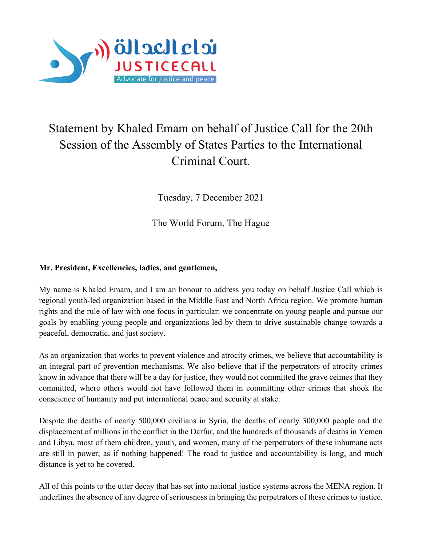

## Statement by Khaled Emam on behalf of Justice Call for the 20th Session of the Assembly of States Parties to the International Criminal Court.

Tuesday, 7 December 2021

The World Forum, The Hague

## **Mr. President, Excellencies, ladies, and gentlemen,**

My name is Khaled Emam, and I am an honour to address you today on behalf Justice Call which is regional youth-led organization based in the Middle East and North Africa region. We promote human rights and the rule of law with one focus in particular: we concentrate on young people and pursue our goals by enabling young people and organizations led by them to drive sustainable change towards a peaceful, democratic, and just society.

As an organization that works to prevent violence and atrocity crimes, we believe that accountability is an integral part of prevention mechanisms. We also believe that if the perpetrators of atrocity crimes know in advance that there will be a day for justice, they would not committed the grave ceimes that they committed, where others would not have followed them in committing other crimes that shook the conscience of humanity and put international peace and security at stake.

Despite the deaths of nearly 500,000 civilians in Syria, the deaths of nearly 300,000 people and the displacement of millions in the conflict in the Darfur, and the hundreds of thousands of deaths in Yemen and Libya, most of them children, youth, and women, many of the perpetrators of these inhumane acts are still in power, as if nothing happened! The road to justice and accountability is long, and much distance is yet to be covered.

All of this points to the utter decay that has set into national justice systems across the MENA region. It underlines the absence of any degree of seriousness in bringing the perpetrators of these crimes to justice.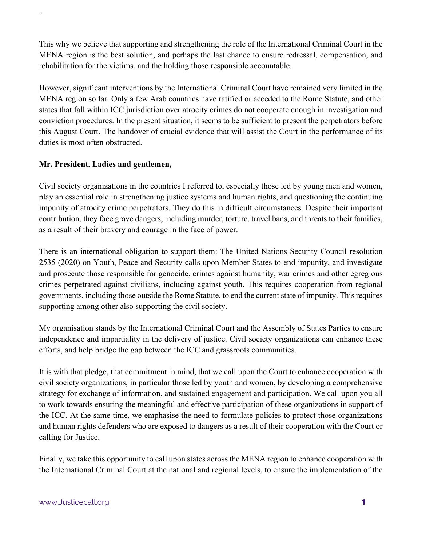This why we believe that supporting and strengthening the role of the International Criminal Court in the MENA region is the best solution, and perhaps the last chance to ensure redressal, compensation, and rehabilitation for the victims, and the holding those responsible accountable.

However, significant interventions by the International Criminal Court have remained very limited in the MENA region so far. Only a few Arab countries have ratified or acceded to the Rome Statute, and other states that fall within ICC jurisdiction over atrocity crimes do not cooperate enough in investigation and conviction procedures. In the present situation, it seems to be sufficient to present the perpetrators before this August Court. The handover of crucial evidence that will assist the Court in the performance of its duties is most often obstructed.

## **Mr. President, Ladies and gentlemen,**

S

Civil society organizations in the countries I referred to, especially those led by young men and women, play an essential role in strengthening justice systems and human rights, and questioning the continuing impunity of atrocity crime perpetrators. They do this in difficult circumstances. Despite their important contribution, they face grave dangers, including murder, torture, travel bans, and threats to their families, as a result of their bravery and courage in the face of power.

There is an international obligation to support them: The United Nations Security Council resolution 2535 (2020) on Youth, Peace and Security calls upon Member States to end impunity, and investigate and prosecute those responsible for genocide, crimes against humanity, war crimes and other egregious crimes perpetrated against civilians, including against youth. This requires cooperation from regional governments, including those outside the Rome Statute, to end the current state of impunity. This requires supporting among other also supporting the civil society.

My organisation stands by the International Criminal Court and the Assembly of States Parties to ensure independence and impartiality in the delivery of justice. Civil society organizations can enhance these efforts, and help bridge the gap between the ICC and grassroots communities.

It is with that pledge, that commitment in mind, that we call upon the Court to enhance cooperation with civil society organizations, in particular those led by youth and women, by developing a comprehensive strategy for exchange of information, and sustained engagement and participation. We call upon you all to work towards ensuring the meaningful and effective participation of these organizations in support of the ICC. At the same time, we emphasise the need to formulate policies to protect those organizations and human rights defenders who are exposed to dangers as a result of their cooperation with the Court or calling for Justice.

Finally, we take this opportunity to call upon states across the MENA region to enhance cooperation with the International Criminal Court at the national and regional levels, to ensure the implementation of the